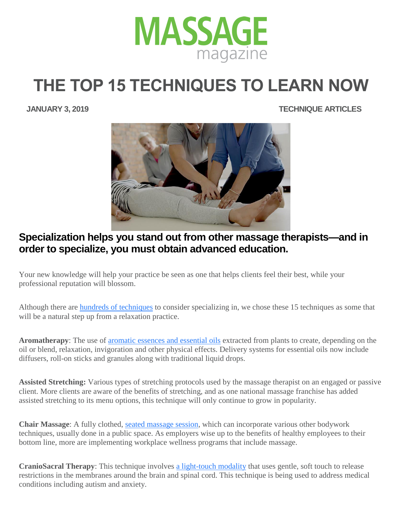

## **THE TOP 15 TECHNIQUES TO LEARN NOW**

 **JANUARY 3, 2019 TECHNIQUE ARTICLES**



## **Specialization helps you stand out from other massage therapists—and in order to specialize, you must obtain advanced education.**

Your new knowledge will help your practice be seen as one that helps clients feel their best, while your professional reputation will blossom.

Although there are [hundreds of techniques](https://www.massagemag.com/technique-ebook/) to consider specializing in, we chose these 15 techniques as some that will be a natural step up from a relaxation practice.

**Aromatherapy**: The use of [aromatic essences and essential oils](https://www.massagemag.com/aromatherapy-spa-98089/) extracted from plants to create, depending on the oil or blend, relaxation, invigoration and other physical effects. Delivery systems for essential oils now include diffusers, roll-on sticks and granules along with traditional liquid drops.

**Assisted Stretching:** Various types of stretching protocols used by the massage therapist on an engaged or passive client. More clients are aware of the benefits of stretching, and as one national massage franchise has added assisted stretching to its menu options, this technique will only continue to grow in popularity.

**Chair Massage**: A fully clothed, [seated massage session,](https://www.massagemag.com/15-tips-from-chair-massage-pros-33377/) which can incorporate various other bodywork techniques, usually done in a public space. As employers wise up to the benefits of healthy employees to their bottom line, more are implementing workplace wellness programs that include massage.

**CranioSacral Therapy**: This technique involves [a light-touch modality](https://www.massagemag.com/craniosacral-therapy-87637/) that uses gentle, soft touch to release restrictions in the membranes around the brain and spinal cord. This technique is being used to address medical conditions including autism and anxiety.